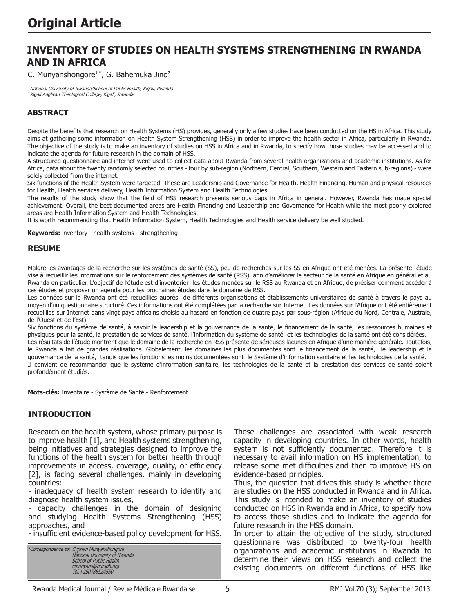# **INVENTORY OF STUDIES ON HEALTH SYSTEMS STRENGTHENING IN RWANDA AND IN AFRICA**

C. Munyanshongore<sup>1,\*</sup>, G. Bahemuka Jino<sup>2</sup>

<sup>1</sup> National University of Rwanda/School of Public Health, Kigali, Rwanda <sup>2</sup>Kigali Anglican Theological College, Kigali, Rwanda

### **ABSTRACT**

Despite the benefits that research on Health Systems (HS) provides, generally only a few studies have been conducted on the HS in Africa. This study aims at gathering some information on Health System Strengthening (HSS) in order to improve the health sector in Africa, particularly in Rwanda. The objective of the study is to make an inventory of studies on HSS in Africa and in Rwanda, to specify how those studies may be accessed and to indicate the agenda for future research in the domain of HSS.

A structured questionnaire and internet were used to collect data about Rwanda from several health organizations and academic institutions. As for Africa, data about the twenty randomly selected countries - four by sub-region (Northern, Central, Southern, Western and Eastern sub-regions) - were solely collected from the internet.

Six functions of the Health System were targeted. These are Leadership and Governance for Health, Health Financing, Human and physical resources for Health, Health services delivery, Health Information System and Health Technologies.

The results of the study show that the field of HSS research presents serious gaps in Africa in general. However, Rwanda has made special achievement. Overall, the best documented areas are Health Financing and Leadership and Governance for Health while the most poorly explored areas are Health Information System and Health Technologies.

It is worth recommending that Health Information System, Health Technologies and Health service delivery be well studied.

**Keywords:** inventory - health systems - strengthening

#### **RESUME**

Malgré les avantages de la recherche sur les systèmes de santé (SS), peu de recherches sur les SS en Afrique ont été menées. La présente étude vise à recueillir les informations sur le renforcement des systèmes de santé (RSS), afin d'améliorer le secteur de la santé en Afrique en général et au Rwanda en particulier. L'objectif de l'étude est d'inventorier les études menées sur le RSS au Rwanda et en Afrique, de préciser comment accéder à ces études et proposer un agenda pour les prochaines études dans le domaine de RSS.

Les données sur le Rwanda ont été recueillies auprès de différents organisations et établissements universitaires de santé à travers le pays au moyen d'un questionnaire structuré. Ces informations ont été complétées par la recherche sur Internet. Les données sur l'Afrique ont été entièrement recueillies sur Internet dans vingt pays africains choisis au hasard en fonction de quatre pays par sous-région (Afrique du Nord, Centrale, Australe, de l'Ouest et de l'Est).

Six fonctions du système de santé, à savoir le leadership et la gouvernance de la santé, le financement de la santé, les ressources humaines et physiques pour la santé, la prestation de services de santé, l'information du système de santé et les technologies de la santé ont été considérées. Les résultats de l'étude montrent que le domaine de la recherche en RSS présente de sérieuses lacunes en Afrique d'une manière générale. Toutefois, le Rwanda a fait de grandes réalisations. Globalement, les domaines les plus documentés sont le financement de la santé, le leadership et la gouvernance de la santé, tandis que les fonctions les moins documentées sont le Système d'information sanitaire et les technologies de la santé. Il convient de recommander que le système d'information sanitaire, les technologies de la santé et la prestation des services de santé soient profondément étudiés.

**Mots-clés:** Inventaire - Système de Santé - Renforcement

#### **INTRODUCTION**

Research on the health system, whose primary purpose is to improve health [1], and Health systems strengthening, being initiatives and strategies designed to improve the functions of the health system for better health through improvements in access, coverage, quality, or efficiency [2], is facing several challenges, mainly in developing countries:

- inadequacy of health system research to identify and diagnose health system issues,

- capacity challenges in the domain of designing and studying Health Systems Strengthening (HSS) approaches, and

- insufficient evidence-based policy development for HSS.

\*Correspondence to: Cyprien Munyanshongore National University of Rwanda School of Public Health cmunyans@nursph.org Tel.+250788524550

These challenges are associated with weak research capacity in developing countries. In other words, health system is not sufficiently documented. Therefore it is necessary to avail information on HS implementation, to release some met difficulties and then to improve HS on evidence-based principles.

Thus, the question that drives this study is whether there are studies on the HSS conducted in Rwanda and in Africa. This study is intended to make an inventory of studies conducted on HSS in Rwanda and in Africa, to specify how to access those studies and to indicate the agenda for future research in the HSS domain.

In order to attain the objective of the study, structured questionnaire was distributed to twenty-four health organizations and academic institutions in Rwanda to determine their views on HSS research and collect the existing documents on different functions of HSS like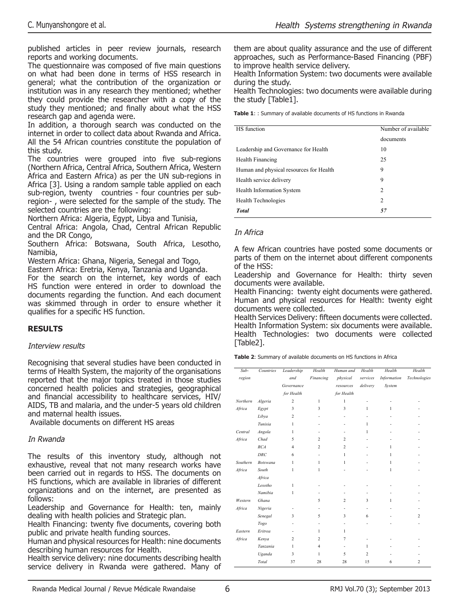published articles in peer review journals, research reports and working documents.

The questionnaire was composed of five main questions on what had been done in terms of HSS research in general; what the contribution of the organization or institution was in any research they mentioned; whether they could provide the researcher with a copy of the study they mentioned; and finally about what the HSS research gap and agenda were.

In addition, a thorough search was conducted on the internet in order to collect data about Rwanda and Africa. All the 54 African countries constitute the population of this study.

The countries were grouped into five sub-regions (Northern Africa, Central Africa, Southern Africa, Western Africa and Eastern Africa) as per the UN sub-regions in Africa [3]. Using a random sample table applied on each sub-region, twenty countries - four countries per subregion- , were selected for the sample of the study. The selected countries are the following:

Northern Africa: Algeria, Egypt, Libya and Tunisia,

Central Africa: Angola, Chad, Central African Republic and the DR Congo,

Southern Africa: Botswana, South Africa, Lesotho, Namibia,

Western Africa: Ghana, Nigeria, Senegal and Togo,

Eastern Africa: Eretria, Kenya, Tanzania and Uganda.

For the search on the internet, key words of each HS function were entered in order to download the documents regarding the function. And each document was skimmed through in order to ensure whether it qualifies for a specific HS function.

# **RESULTS**

#### Interview results

Recognising that several studies have been conducted in terms of Health System, the majority of the organisations reported that the major topics treated in those studies concerned health policies and strategies, geographical and financial accessibility to healthcare services, HIV/ AIDS, TB and malaria, and the under-5 years old children and maternal health issues.

Available documents on different HS areas

#### In Rwanda

The results of this inventory study, although not exhaustive, reveal that not many research works have been carried out in regards to HSS. The documents on HS functions, which are available in libraries of different organizations and on the internet, are presented as follows:

Leadership and Governance for Health: ten, mainly dealing with health policies and Strategic plan.

Health Financing: twenty five documents, covering both public and private health funding sources.

Human and physical resources for Health: nine documents describing human resources for Health.

Health service delivery: nine documents describing health service delivery in Rwanda were gathered. Many of them are about quality assurance and the use of different approaches, such as Performance-Based Financing (PBF) to improve health service delivery.

Health Information System: two documents were available during the study.

Health Technologies: two documents were available during the study [Table1].

**Table 1**: : Summary of available documents of HS functions in Rwanda

| HS function                             | Number of available |  |
|-----------------------------------------|---------------------|--|
|                                         | documents           |  |
| Leadership and Governance for Health    | 10                  |  |
| Health Financing                        | 25                  |  |
| Human and physical resources for Health | 9                   |  |
| Health service delivery                 | 9                   |  |
| <b>Health Information System</b>        | 2                   |  |
| Health Technologies                     | 2                   |  |
| <b>Total</b>                            | 57                  |  |

#### In Africa

A few African countries have posted some documents or parts of them on the internet about different components of the HSS:

Leadership and Governance for Health: thirty seven documents were available.

Health Financing: twenty eight documents were gathered. Human and physical resources for Health: twenty eight documents were collected.

Health Services Delivery: fifteen documents were collected. Health Information System: six documents were available. Health Technologies: two documents were collected [Table2].

**Table 2**: Summary of available documents on HS functions in Africa

| $Sub-$   | Countries       | Leadership     | Health         | Human and                | Health         | Health             | Health                   |
|----------|-----------------|----------------|----------------|--------------------------|----------------|--------------------|--------------------------|
| region   |                 | and            | Financing      | physical                 | services       | <b>Information</b> | Technologies             |
|          |                 | Governance     |                | resources                | delivery       | System             |                          |
|          |                 | for Health     |                | for Health               |                |                    |                          |
| Northern | Algeria         | $\overline{c}$ | $\mathbf{1}$   | 1                        |                |                    |                          |
| Africa   | Egypt           | 3              | 3              | 3                        | 1              | $\mathbf{1}$       |                          |
|          | Libya           | $\overline{c}$ |                |                          |                |                    |                          |
|          | Tunisia         | 1              |                |                          | 1              |                    |                          |
| Central  | Angola          | $\mathbf{1}$   |                |                          | 1              |                    |                          |
| Africa   | Chad            | 5              | $\overline{c}$ | $\overline{2}$           |                |                    |                          |
|          | RCA             | $\overline{4}$ | $\overline{c}$ | $\overline{c}$           |                | $\mathbf{1}$       |                          |
|          | <b>DRC</b>      | 6              | ٠              | $\mathbf{1}$             |                | 1                  |                          |
| Southern | <b>Botswana</b> | 1              | 1              | $\mathbf{1}$             |                | 1                  |                          |
| Africa   | South           | 1              | 1              |                          |                | 1                  |                          |
|          | Africa          |                |                |                          |                |                    |                          |
|          | Lesotho         | 1              |                |                          |                |                    |                          |
|          | Namibia         | 1              |                |                          |                |                    |                          |
| Western  | Ghana           |                | 5              | $\overline{2}$           | 3              | 1                  |                          |
| Africa   | Nigeria         |                | ÷,             | ٠                        |                |                    |                          |
|          | Senegal         | 3              | 5              | 3                        | 6              |                    | $\overline{c}$           |
|          | Togo            | ٠              | ٠              | ٠                        |                |                    | $\overline{\phantom{a}}$ |
| Eastern  | Eritrea         |                | 1              | $\mathbf{1}$             |                |                    |                          |
| Africa   | Kenya           | $\overline{c}$ | $\overline{c}$ | 7                        |                |                    |                          |
|          | Tanzania        | $\mathbf{I}$   | $\overline{4}$ | $\overline{\phantom{a}}$ | $\mathbf{1}$   |                    |                          |
|          | Uganda          | 3              | 1              | 5                        | $\overline{c}$ |                    |                          |
|          | Total           | 37             | 28             | 28                       | 15             | 6                  | $\overline{c}$           |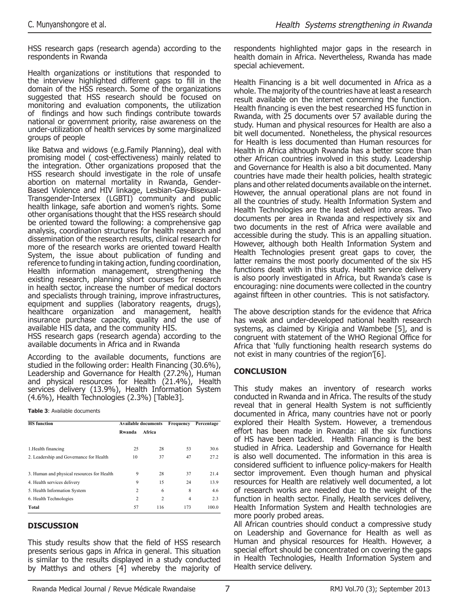HSS research gaps (research agenda) according to the respondents in Rwanda

Health organizations or institutions that responded to the interview highlighted different gaps to fill in the domain of the HSS research. Some of the organizations suggested that HSS research should be focused on monitoring and evaluation components, the utilization of findings and how such findings contribute towards national or government priority, raise awareness on the under-utilization of health services by some marginalized groups of people

like Batwa and widows (e.g.Family Planning), deal with promising model ( cost-effectiveness) mainly related to the integration. Other organizations proposed that the HSS research should investigate in the role of unsafe abortion on maternal mortality in Rwanda, Gender-Based Violence and HIV linkage, Lesbian-Gay-Bisexual-Transgender-Intersex (LGBTI) community and public health linkage, safe abortion and women's rights. Some other organisations thought that the HSS research should be oriented toward the following: a comprehensive gap analysis, coordination structures for health research and dissemination of the research results, clinical research for more of the research works are oriented toward Health System, the issue about publication of funding and reference to funding in taking action, funding coordination, Health information management, strengthening the existing research, planning short courses for research in health sector, increase the number of medical doctors and specialists through training, improve infrastructures, equipment and supplies (laboratory reagents, drugs), healthcare organization and management, health insurance purchase capacity, quality and the use of available HIS data, and the community HIS.

HSS research gaps (research agenda) according to the available documents in Africa and in Rwanda

According to the available documents, functions are studied in the following order: Health Financing (30.6%), Leadership and Governance for Health (27.2%), Human and physical resources for Health (21.4%), Health services delivery (13.9%), Health Information System (4.6%), Health Technologies (2.3%) [Table3].

**Table 3**: Available documents

| <b>HS</b> function                         |                | <b>Available documents</b> | Frequency      | Percentage |
|--------------------------------------------|----------------|----------------------------|----------------|------------|
|                                            | Rwanda         | Africa                     |                |            |
| 1. Health financing                        | 25             | 28                         | 53             | 30.6       |
| 2. Leadership and Governance for Health    | 10             | 37                         | 47             | 27.2       |
| 3. Human and physical resources for Health | 9              | 28                         | 37             | 214        |
| 4. Health services delivery                | 9              | 15                         | 24             | 13.9       |
| 5. Health Information System               | $\overline{c}$ | 6                          | 8              | 4.6        |
| 6. Health Technologies                     | $\overline{c}$ | $\overline{c}$             | $\overline{4}$ | 2.3        |
| Total                                      | 57             | 116                        | 173            | 1000       |

# **DISCUSSION**

This study results show that the field of HSS research presents serious gaps in Africa in general. This situation is similar to the results displayed in a study conducted by Matthys and others [4] whereby the majority of

respondents highlighted major gaps in the research in health domain in Africa. Nevertheless, Rwanda has made special achievement.

Health Financing is a bit well documented in Africa as a whole. The majority of the countries have at least a research result available on the internet concerning the function. Health financing is even the best researched HS function in Rwanda, with 25 documents over 57 available during the study. Human and physical resources for Health are also a bit well documented. Nonetheless, the physical resources for Health is less documented than Human resources for Health in Africa although Rwanda has a better score than other African countries involved in this study. Leadership and Governance for Health is also a bit documented. Many countries have made their health policies, health strategic plans and other related documents available on the internet. However, the annual operational plans are not found in all the countries of study. Health Information System and Health Technologies are the least delved into areas. Two documents per area in Rwanda and respectively six and two documents in the rest of Africa were available and accessible during the study. This is an appalling situation. However, although both Health Information System and Health Technologies present great gaps to cover, the latter remains the most poorly documented of the six HS functions dealt with in this study. Health service delivery is also poorly investigated in Africa, but Rwanda's case is encouraging: nine documents were collected in the country against fifteen in other countries. This is not satisfactory.

The above description stands for the evidence that Africa has weak and under-developed national health research systems, as claimed by Kirigia and Wambebe [5], and is congruent with statement of the WHO Regional Office for Africa that 'fully functioning health research systems do not exist in many countries of the region'[6].

# **CONCLUSION**

This study makes an inventory of research works conducted in Rwanda and in Africa. The results of the study reveal that in general Health System is not sufficiently documented in Africa, many countries have not or poorly explored their Health System. However, a tremendous effort has been made in Rwanda: all the six functions of HS have been tackled. Health Financing is the best studied in Africa. Leadership and Governance for Health is also well documented. The information in this area is considered sufficient to influence policy-makers for Health sector improvement. Even though human and physical resources for Health are relatively well documented, a lot of research works are needed due to the weight of the function in health sector. Finally, Health services delivery, Health Information System and Health technologies are more poorly probed areas.

All African countries should conduct a compressive study on Leadership and Governance for Health as well as Human and physical resources for Health. However, a special effort should be concentrated on covering the gaps in Health Technologies, Health Information System and Health service delivery.